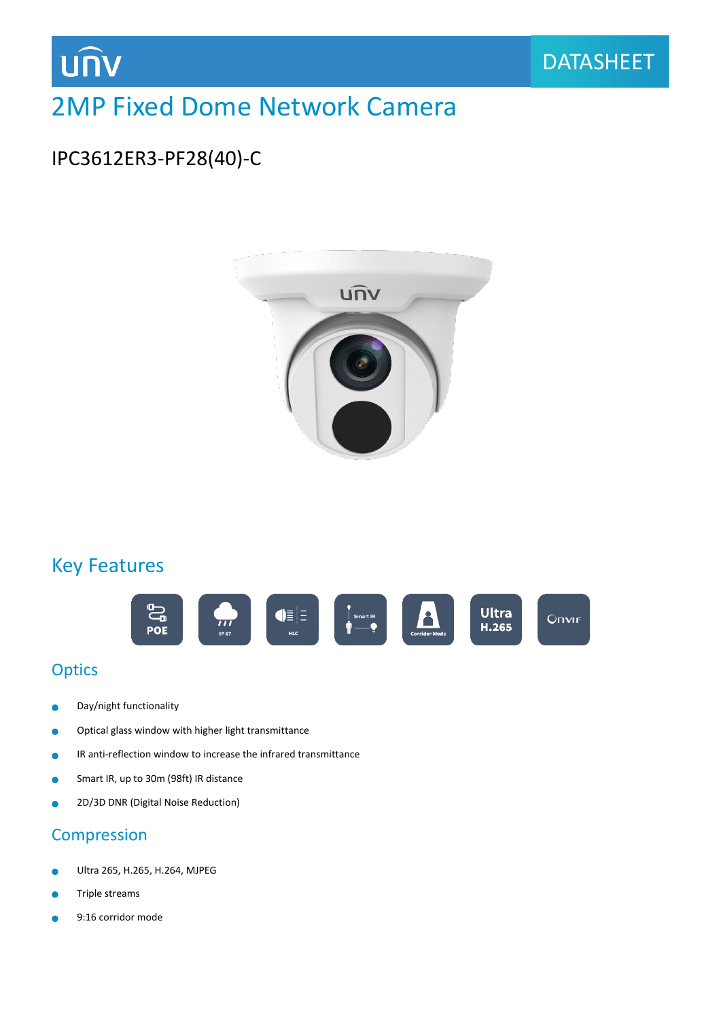

## 2MP Fixed Dome Network Camera

## IPC3612ER3-PF28(40)-C



### Key Features



#### **Optics**

- Day/night functionality ä
- Optical glass window with higher light transmittance  $\bullet$
- IR anti-reflection window to increase the infrared transmittance  $\bullet$
- Smart IR, up to 30m (98ft) IR distance ٠
- 2D/3D DNR (Digital Noise Reduction) Ŏ

#### Compression

- Ultra 265, H.265, H.264, MJPEG ۰
- Triple streams
- 9:16 corridor modeò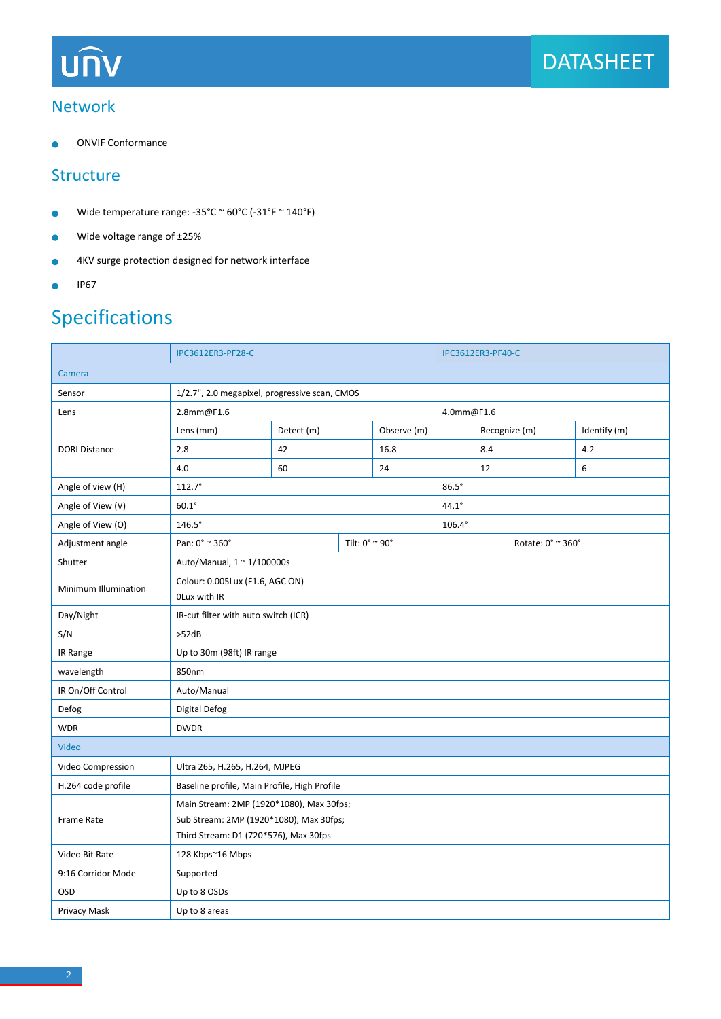#### Network

ONVIF Conformance  $\blacksquare$ 

#### **Structure**

- Wide temperature range: -35°C ~ 60°C (-31°F ~ 140°F)  $\bullet$
- Wide voltage range of ±25%  $\bullet$
- 4KV surge protection designed for network interface  $\bullet$
- IP67  $\bullet$

## Specifications

|                      | <b>IPC3612ER3-PF28-C</b>                      |                |  | <b>IPC3612ER3-PF40-C</b> |  |               |                   |              |  |  |
|----------------------|-----------------------------------------------|----------------|--|--------------------------|--|---------------|-------------------|--------------|--|--|
| Camera               |                                               |                |  |                          |  |               |                   |              |  |  |
| Sensor               | 1/2.7", 2.0 megapixel, progressive scan, CMOS |                |  |                          |  |               |                   |              |  |  |
| Lens                 | 2.8mm@F1.6                                    |                |  |                          |  | 4.0mm@F1.6    |                   |              |  |  |
| <b>DORI Distance</b> | Lens (mm)                                     | Detect (m)     |  | Observe (m)              |  |               | Recognize (m)     | Identify (m) |  |  |
|                      | 2.8                                           | 42             |  | 16.8                     |  | 8.4           |                   | 4.2          |  |  |
|                      | 4.0                                           | 60             |  | 24                       |  | 12            |                   | 6            |  |  |
| Angle of view (H)    | $112.7^{\circ}$                               |                |  |                          |  | $86.5^\circ$  |                   |              |  |  |
| Angle of View (V)    | $60.1^\circ$                                  |                |  |                          |  | $44.1^\circ$  |                   |              |  |  |
| Angle of View (O)    | $146.5^\circ$                                 |                |  |                          |  | $106.4^\circ$ |                   |              |  |  |
| Adjustment angle     | Pan: 0° ~ 360°                                | Tilt: 0° ~ 90° |  |                          |  |               | Rotate: 0° ~ 360° |              |  |  |
| Shutter              | Auto/Manual, 1 ~ 1/100000s                    |                |  |                          |  |               |                   |              |  |  |
| Minimum Illumination | Colour: 0.005Lux (F1.6, AGC ON)               |                |  |                          |  |               |                   |              |  |  |
|                      | OLux with IR                                  |                |  |                          |  |               |                   |              |  |  |
| Day/Night            | IR-cut filter with auto switch (ICR)          |                |  |                          |  |               |                   |              |  |  |
| S/N                  | >52dB                                         |                |  |                          |  |               |                   |              |  |  |
| IR Range             | Up to 30m (98ft) IR range                     |                |  |                          |  |               |                   |              |  |  |
| wavelength           | 850nm                                         |                |  |                          |  |               |                   |              |  |  |
| IR On/Off Control    | Auto/Manual                                   |                |  |                          |  |               |                   |              |  |  |
| Defog                | Digital Defog                                 |                |  |                          |  |               |                   |              |  |  |
| <b>WDR</b>           | <b>DWDR</b>                                   |                |  |                          |  |               |                   |              |  |  |
| Video                |                                               |                |  |                          |  |               |                   |              |  |  |
| Video Compression    | Ultra 265, H.265, H.264, MJPEG                |                |  |                          |  |               |                   |              |  |  |
| H.264 code profile   | Baseline profile, Main Profile, High Profile  |                |  |                          |  |               |                   |              |  |  |
|                      | Main Stream: 2MP (1920*1080), Max 30fps;      |                |  |                          |  |               |                   |              |  |  |
| Frame Rate           | Sub Stream: 2MP (1920*1080), Max 30fps;       |                |  |                          |  |               |                   |              |  |  |
|                      | Third Stream: D1 (720*576), Max 30fps         |                |  |                          |  |               |                   |              |  |  |
| Video Bit Rate       | 128 Kbps~16 Mbps                              |                |  |                          |  |               |                   |              |  |  |
| 9:16 Corridor Mode   | Supported                                     |                |  |                          |  |               |                   |              |  |  |
| OSD                  | Up to 8 OSDs                                  |                |  |                          |  |               |                   |              |  |  |
| Privacy Mask         | Up to 8 areas                                 |                |  |                          |  |               |                   |              |  |  |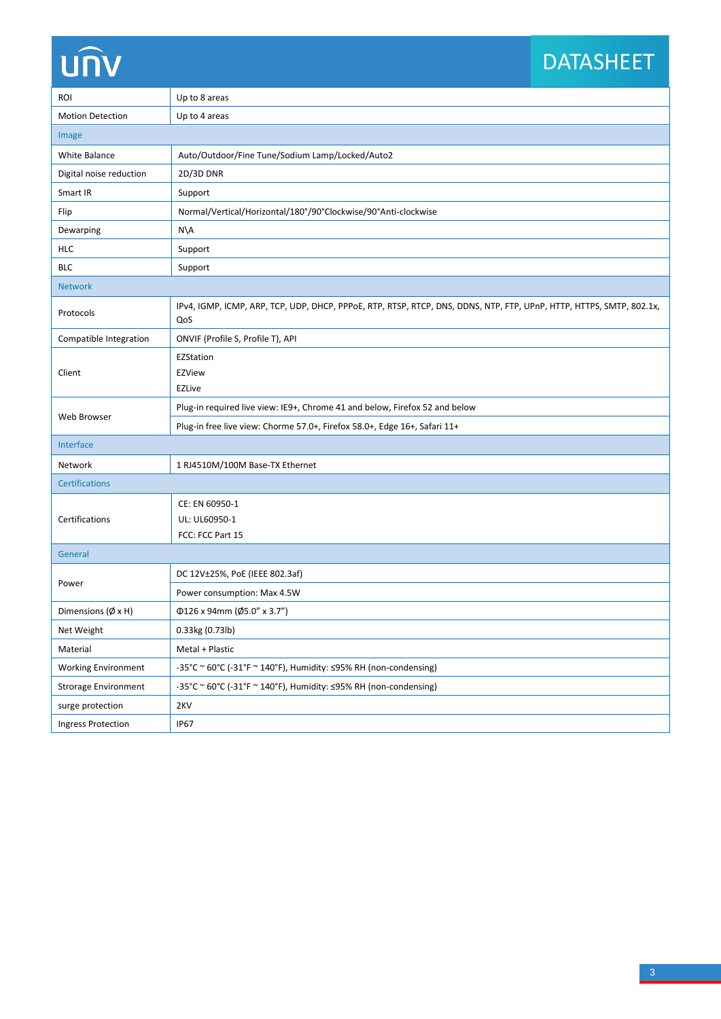## DATASHEET

| <b>ROI</b>                        | Up to 8 areas                                                                                                               |  |  |  |  |
|-----------------------------------|-----------------------------------------------------------------------------------------------------------------------------|--|--|--|--|
| <b>Motion Detection</b>           | Up to 4 areas                                                                                                               |  |  |  |  |
| Image                             |                                                                                                                             |  |  |  |  |
| White Balance                     | Auto/Outdoor/Fine Tune/Sodium Lamp/Locked/Auto2                                                                             |  |  |  |  |
| Digital noise reduction           | 2D/3D DNR                                                                                                                   |  |  |  |  |
| Smart IR                          | Support                                                                                                                     |  |  |  |  |
| Flip                              | Normal/Vertical/Horizontal/180°/90°Clockwise/90°Anti-clockwise                                                              |  |  |  |  |
| Dewarping                         | N\A                                                                                                                         |  |  |  |  |
| <b>HLC</b>                        | Support                                                                                                                     |  |  |  |  |
| <b>BLC</b>                        | Support                                                                                                                     |  |  |  |  |
| <b>Network</b>                    |                                                                                                                             |  |  |  |  |
| Protocols                         | IPv4, IGMP, ICMP, ARP, TCP, UDP, DHCP, PPPoE, RTP, RTSP, RTCP, DNS, DDNS, NTP, FTP, UPnP, HTTP, HTTPS, SMTP, 802.1x,<br>QoS |  |  |  |  |
| Compatible Integration            | ONVIF (Profile S, Profile T), API                                                                                           |  |  |  |  |
| Client                            | EZStation<br><b>EZView</b><br><b>EZLive</b>                                                                                 |  |  |  |  |
| Web Browser                       | Plug-in required live view: IE9+, Chrome 41 and below, Firefox 52 and below                                                 |  |  |  |  |
|                                   | Plug-in free live view: Chorme 57.0+, Firefox 58.0+, Edge 16+, Safari 11+                                                   |  |  |  |  |
| Interface                         |                                                                                                                             |  |  |  |  |
| Network                           | 1 RJ4510M/100M Base-TX Ethernet                                                                                             |  |  |  |  |
| <b>Certifications</b>             |                                                                                                                             |  |  |  |  |
| Certifications                    | CE: EN 60950-1<br>UL: UL60950-1<br>FCC: FCC Part 15                                                                         |  |  |  |  |
| General                           |                                                                                                                             |  |  |  |  |
| Power                             | DC 12V±25%, PoE (IEEE 802.3af)                                                                                              |  |  |  |  |
|                                   | Power consumption: Max 4.5W                                                                                                 |  |  |  |  |
| Dimensions $(\emptyset \times H)$ | $\Phi$ 126 x 94mm (Ø5.0" x 3.7")                                                                                            |  |  |  |  |
| Net Weight                        | 0.33kg (0.73lb)                                                                                                             |  |  |  |  |
| Material                          | Metal + Plastic                                                                                                             |  |  |  |  |
| <b>Working Environment</b>        | -35°C ~ 60°C (-31°F ~ 140°F), Humidity: ≤95% RH (non-condensing)                                                            |  |  |  |  |
| <b>Strorage Environment</b>       | -35°C ~ 60°C (-31°F ~ 140°F), Humidity: ≤95% RH (non-condensing)                                                            |  |  |  |  |
| surge protection                  | 2KV                                                                                                                         |  |  |  |  |
| <b>Ingress Protection</b>         | <b>IP67</b>                                                                                                                 |  |  |  |  |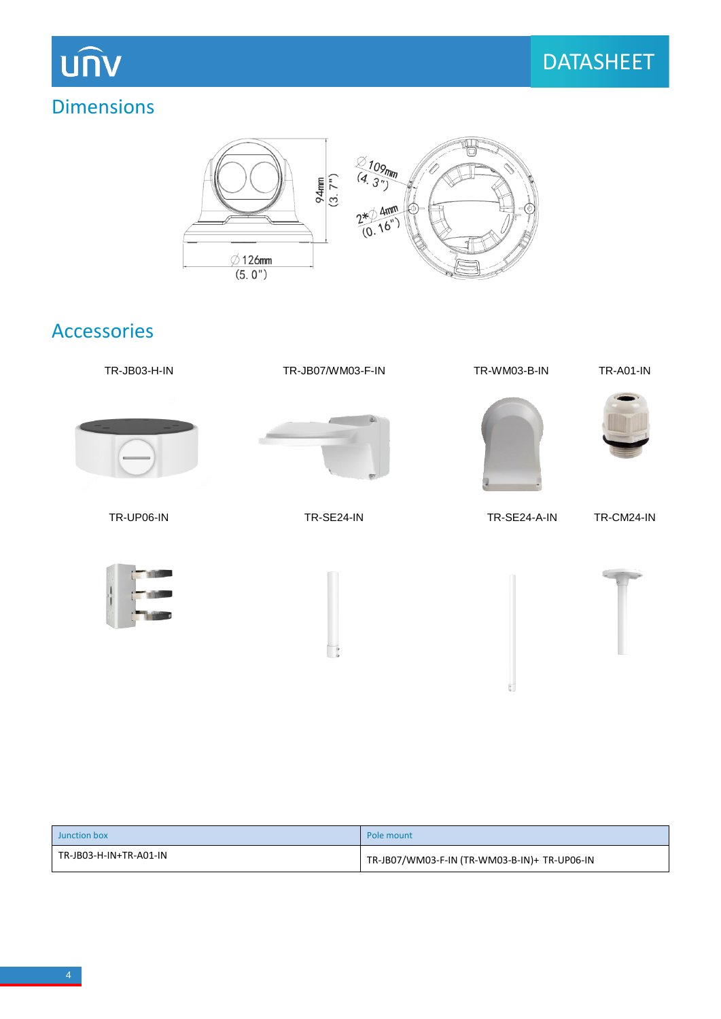### Dimensions



#### Accessories



| Junction box           | Pole mount                                   |  |  |  |
|------------------------|----------------------------------------------|--|--|--|
| TR-JB03-H-IN+TR-A01-IN | TR-JB07/WM03-F-IN (TR-WM03-B-IN)+ TR-UP06-IN |  |  |  |